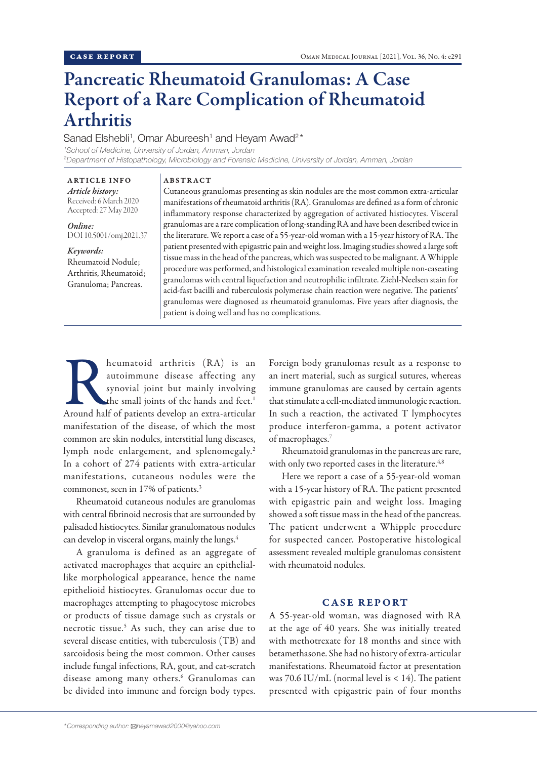# Pancreatic Rheumatoid Granulomas: A Case Report of a Rare Complication of Rheumatoid Arthritis

Sanad Elshebli<sup>1</sup>, Omar Abureesh<sup>1</sup> and Heyam Awad<sup>2\*</sup>

ABSTRACT

*1 School of Medicine, University of Jordan, Amman, Jordan 2 Department of Histopathology, Microbiology and Forensic Medicine, University of Jordan, Amman, Jordan*

ARTICLE INFO *Article history:* Received: 6 March 2020 Accepted: 27 May 2020

*Online:* DOI 10.5001/omj.2021.37

## *Keywords:*

Rheumatoid Nodule; Arthritis, Rheumatoid; Granuloma; Pancreas.

Cutaneous granulomas presenting as skin nodules are the most common extra-articular manifestations of rheumatoid arthritis (RA). Granulomas are defined as a form of chronic inflammatory response characterized by aggregation of activated histiocytes. Visceral granulomas are a rare complication of long-standing RA and have been described twice in the literature. We report a case of a 55-year-old woman with a 15-year history of RA. The patient presented with epigastric pain and weight loss. Imaging studies showed a large soft tissue mass in the head of the pancreas, which was suspected to be malignant. A Whipple procedure was performed, and histological examination revealed multiple non-caseating granulomas with central liquefaction and neutrophilic infiltrate. Ziehl-Neelsen stain for acid-fast bacilli and tuberculosis polymerase chain reaction were negative. The patients' granulomas were diagnosed as rheumatoid granulomas. Five years after diagnosis, the patient is doing well and has no complications.

Reumatoid arthritis (RA) is an autoimmune disease affecting any synovial joint but mainly involving the small joints of the hands and feet.<sup>1</sup> Around half of patients develop an extra-articular autoimmune disease affecting any synovial joint but mainly involving the small joints of the hands and feet.<sup>1</sup> manifestation of the disease, of which the most common are skin nodules, interstitial lung diseases, lymph node enlargement, and splenomegaly.<sup>2</sup> In a cohort of 274 patients with extra-articular manifestations, cutaneous nodules were the commonest, seen in 17% of patients.<sup>3</sup>

Rheumatoid cutaneous nodules are granulomas with central fibrinoid necrosis that are surrounded by palisaded histiocytes. Similar granulomatous nodules can develop in visceral organs, mainly the lungs.<sup>4</sup>

A granuloma is defined as an aggregate of activated macrophages that acquire an epitheliallike morphological appearance, hence the name epithelioid histiocytes. Granulomas occur due to macrophages attempting to phagocytose microbes or products of tissue damage such as crystals or necrotic tissue.5 As such, they can arise due to several disease entities, with tuberculosis (TB) and sarcoidosis being the most common. Other causes include fungal infections, RA, gout, and cat-scratch disease among many others.<sup>6</sup> Granulomas can be divided into immune and foreign body types.

Foreign body granulomas result as a response to an inert material, such as surgical sutures, whereas immune granulomas are caused by certain agents that stimulate a cell-mediated immunologic reaction. In such a reaction, the activated T lymphocytes produce interferon-gamma, a potent activator of macrophages.7

Rheumatoid granulomas in the pancreas are rare, with only two reported cases in the literature.<sup>4,8</sup>

Here we report a case of a 55-year-old woman with a 15-year history of RA. The patient presented with epigastric pain and weight loss. Imaging showed a soft tissue mass in the head of the pancreas. The patient underwent a Whipple procedure for suspected cancer. Postoperative histological assessment revealed multiple granulomas consistent with rheumatoid nodules.

# CASE REPORT

A 55-year-old woman, was diagnosed with RA at the age of 40 years. She was initially treated with methotrexate for 18 months and since with betamethasone. She had no history of extra-articular manifestations. Rheumatoid factor at presentation was  $70.6$  IU/mL (normal level is  $< 14$ ). The patient presented with epigastric pain of four months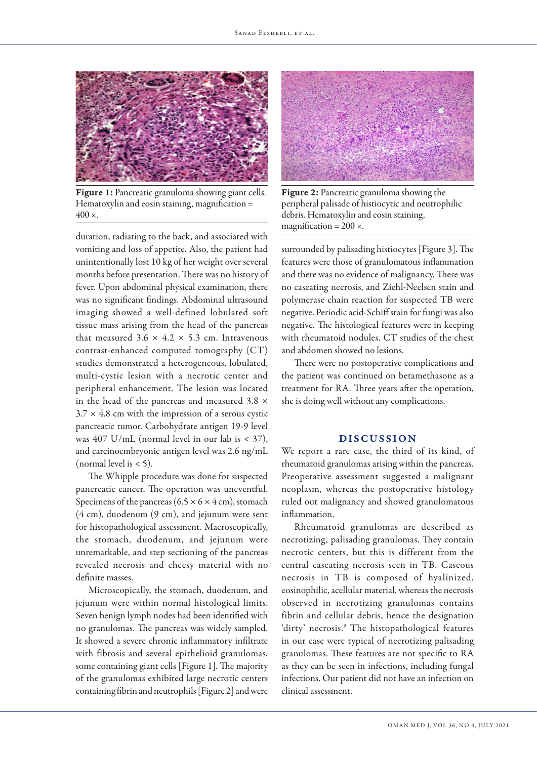

Figure 1: Pancreatic granuloma showing giant cells. Hematoxylin and eosin staining, magnification =  $400 \times$ .

duration, radiating to the back, and associated with vomiting and loss of appetite. Also, the patient had unintentionally lost 10 kg of her weight over several months before presentation. There was no history of fever. Upon abdominal physical examination, there was no significant findings. Abdominal ultrasound imaging showed a well-defined lobulated soft tissue mass arising from the head of the pancreas that measured  $3.6 \times 4.2 \times 5.3$  cm. Intravenous contrast-enhanced computed tomography (CT) studies demonstrated a heterogeneous, lobulated, multi-cystic lesion with a necrotic center and peripheral enhancement. The lesion was located in the head of the pancreas and measured 3.8 ×  $3.7 \times 4.8$  cm with the impression of a serous cystic pancreatic tumor. Carbohydrate antigen 19-9 level was 407 U/mL (normal level in our lab is < 37), and carcinoembryonic antigen level was 2.6 ng/mL (normal level is  $<$  5).

The Whipple procedure was done for suspected pancreatic cancer. The operation was uneventful. Specimens of the pancreas ( $6.5 \times 6 \times 4$  cm), stomach (4 cm), duodenum (9 cm), and jejunum were sent for histopathological assessment. Macroscopically, the stomach, duodenum, and jejunum were unremarkable, and step sectioning of the pancreas revealed necrosis and cheesy material with no definite masses.

Microscopically, the stomach, duodenum, and jejunum were within normal histological limits. Seven benign lymph nodes had been identified with no granulomas. The pancreas was widely sampled. It showed a severe chronic inflammatory infiltrate with fibrosis and several epithelioid granulomas, some containing giant cells [Figure 1]. The majority of the granulomas exhibited large necrotic centers containing fibrin and neutrophils [Figure 2] and were



Figure 2: Pancreatic granuloma showing the peripheral palisade of histiocytic and neutrophilic debris. Hematoxylin and eosin staining, magnification =  $200 \times$ .

surrounded by palisading histiocytes [Figure 3]. The features were those of granulomatous inflammation and there was no evidence of malignancy. There was no caseating necrosis, and Ziehl-Neelsen stain and polymerase chain reaction for suspected TB were negative. Periodic acid-Schiff stain for fungi was also negative. The histological features were in keeping with rheumatoid nodules. CT studies of the chest and abdomen showed no lesions.

There were no postoperative complications and the patient was continued on betamethasone as a treatment for RA. Three years after the operation, she is doing well without any complications.

## DISCUSSION

We report a rare case, the third of its kind, of rheumatoid granulomas arising within the pancreas. Preoperative assessment suggested a malignant neoplasm, whereas the postoperative histology ruled out malignancy and showed granulomatous inflammation.

Rheumatoid granulomas are described as necrotizing, palisading granulomas. They contain necrotic centers, but this is different from the central caseating necrosis seen in TB. Caseous necrosis in TB is composed of hyalinized, eosinophilic, acellular material, whereas the necrosis observed in necrotizing granulomas contains fibrin and cellular debris, hence the designation 'dirty' necrosis.<sup>9</sup> The histopathological features in our case were typical of necrotizing palisading granulomas. These features are not specific to RA as they can be seen in infections, including fungal infections. Our patient did not have an infection on clinical assessment.